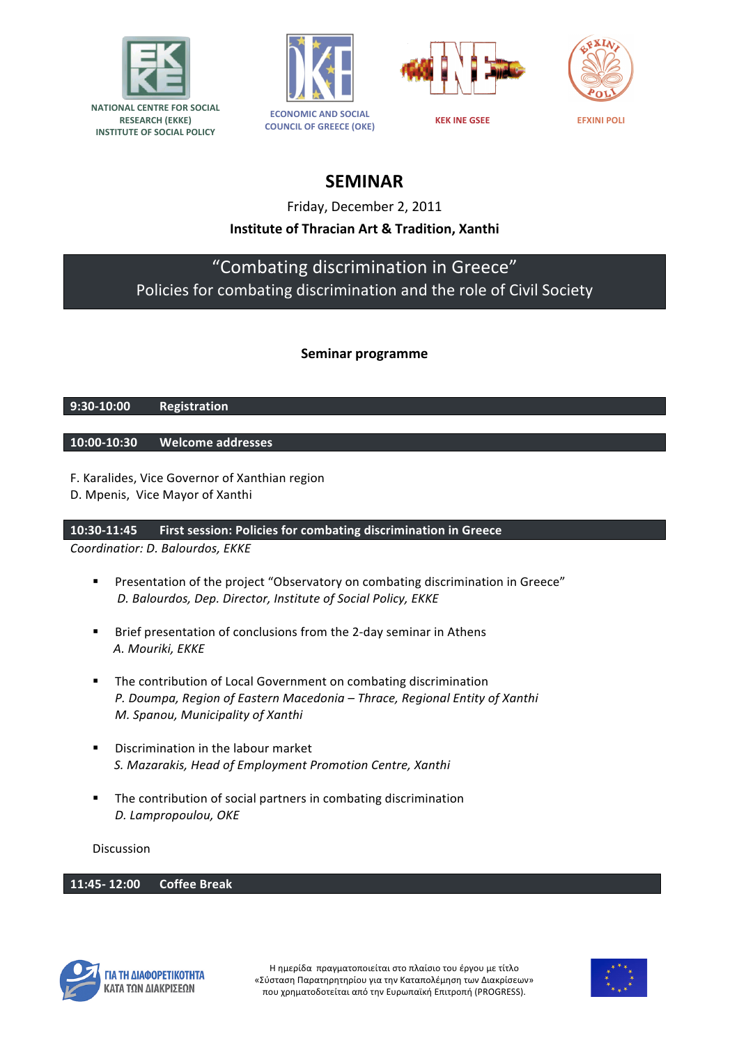







**SEMINAR**

Friday, December 2, 2011

## **Institute of Thracian Art & Tradition, Xanthi**

# "Combating discrimination in Greece" Policies for combating discrimination and the role of Civil Society

### **Seminar programme**

#### **9:30-10:00 Registration**

#### **10:00-10:30 Welcome addresses**

- F. Karalides, Vice Governor of Xanthian region
- D. Mpenis, Vice Mayor of Xanthi

#### **10:30-11:45 First session: Policies for combating discrimination in Greece**

*Coordinatior: D. Balourdos, ΕΚΚΕ*

- **•** Presentation of the project "Observatory on combating discrimination in Greece" D. Balourdos, Dep. Director, Institute of Social Policy, EKKE
- Brief presentation of conclusions from the 2-day seminar in Athens  *Α. Mouriki, ΕΚΚΕ*
- The contribution of Local Government on combating discrimination P. Doumpa, Region of Eastern Macedonia - Thrace, Regional Entity of Xanthi *Μ. Spanou, Municipality of Xanthi*
- Discrimination in the labour market **S.** Mazarakis, Head of *Employment Promotion Centre, Xanthi*
- The contribution of social partners in combating discrimination *D. Lampropoulou, OKE*

#### Discussion

#### **11:45- 12:00 Coffee Break**



Η ημερίδα πραγματοποιείται στο πλαίσιο του έργου με τίτλο «Σύσταση Παρατηρητηρίου για την Καταπολέμηση των Διακρίσεων» που χρηματοδοτείται από την Ευρωπαϊκή Επιτροπή (PROGRESS).